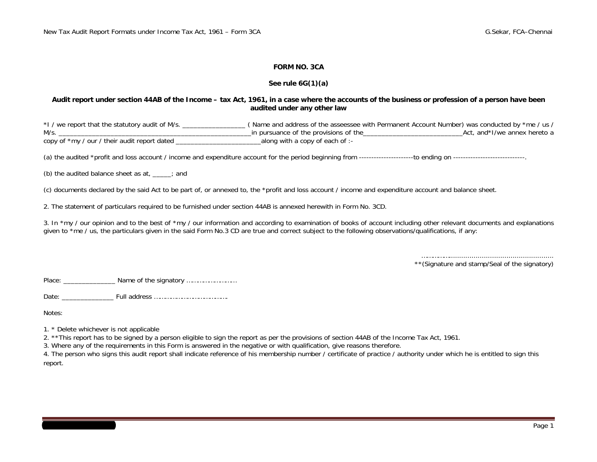#### **FORM NO. 3CA**

#### **See rule 6G(1)(a)**

#### **Audit report under section 44AB of the Income – tax Act, 1961, in a case where the accounts of the business or profession of a person have been audited under any other law**

\*I / we report that the statutory audit of M/s. \_\_\_\_\_\_\_\_\_\_\_\_\_\_\_\_\_ ( Name and address of the asseessee with Permanent Account Number) was conducted by \*me / us / M/s. \_\_\_\_\_\_\_\_\_\_\_\_\_\_\_\_\_\_\_\_\_\_\_\_\_\_\_\_\_\_\_\_\_\_\_\_\_\_\_\_\_\_\_\_\_\_\_\_\_\_\_\_in pursuance of the provisions of the\_\_\_\_\_\_\_\_\_\_\_\_\_\_\_\_\_\_\_\_\_\_\_\_\_\_\_Act, and\*I/we annex hereto a copy of \*my / our / their audit report dated \_\_\_\_\_\_\_\_\_\_\_\_\_\_\_\_\_\_\_\_\_\_\_along with a copy of each of :-

(a) the audited \*profit and loss account / income and expenditure account for the period beginning from ----------------------to ending on -----------------------------.

(b) the audited balance sheet as at, \_\_\_\_\_; and

(c) documents declared by the said Act to be part of, or annexed to, the \*profit and loss account / income and expenditure account and balance sheet.

2. The statement of particulars required to be furnished under section 44AB is annexed herewith in Form No. 3CD.

3. In \*my / our opinion and to the best of \*my / our information and according to examination of books of account including other relevant documents and explanations given to <sup>\*</sup>me / us, the particulars given in the said Form No.3 CD are true and correct subject to the following observations/qualifications, if any:

> ……………................................................... \*\*(Signature and stamp/Seal of the signatory)

Place: \_\_\_\_\_\_\_\_\_\_\_\_\_\_\_\_\_\_\_ Name of the signatory ……………………………………………………………………………………

Date: \_\_\_\_\_\_\_\_\_\_\_\_\_\_ Full address ………………………………….

Notes:

1. \* Delete whichever is not applicable

2. \*\*This report has to be signed by a person eligible to sign the report as per the provisions of section 44AB of the Income Tax Act, 1961.

3. Where any of the requirements in this Form is answered in the negative or with qualification, give reasons therefore.

4. The person who signs this audit report shall indicate reference of his membership number / certificate of practice / authority under which he is entitled to sign this report.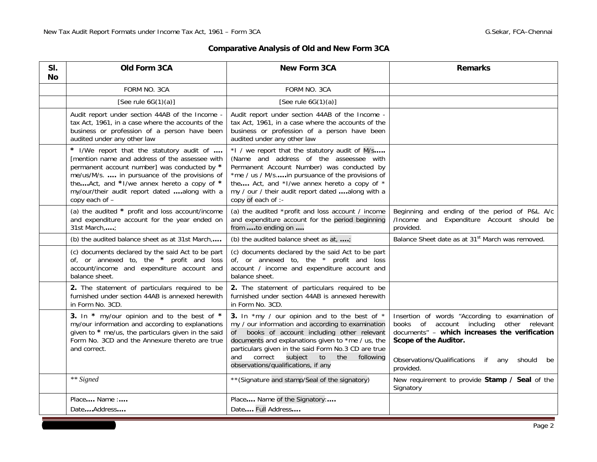## **Comparative Analysis of Old and New Form 3CA**

| SI.<br><b>No</b> | Old Form 3CA<br><b>New Form 3CA</b>                                                                                                                                                                                                                                                                          |                                                                                                                                                                                                                                                                                                                                                                | <b>Remarks</b>                                                                                                                                                                                                                      |
|------------------|--------------------------------------------------------------------------------------------------------------------------------------------------------------------------------------------------------------------------------------------------------------------------------------------------------------|----------------------------------------------------------------------------------------------------------------------------------------------------------------------------------------------------------------------------------------------------------------------------------------------------------------------------------------------------------------|-------------------------------------------------------------------------------------------------------------------------------------------------------------------------------------------------------------------------------------|
|                  | FORM NO. 3CA                                                                                                                                                                                                                                                                                                 | FORM NO. 3CA                                                                                                                                                                                                                                                                                                                                                   |                                                                                                                                                                                                                                     |
|                  | [See rule $6G(1)(a)$ ]                                                                                                                                                                                                                                                                                       | [See rule $6G(1)(a)$ ]                                                                                                                                                                                                                                                                                                                                         |                                                                                                                                                                                                                                     |
|                  | Audit report under section 44AB of the Income -<br>tax Act, 1961, in a case where the accounts of the<br>business or profession of a person have been<br>audited under any other law                                                                                                                         | Audit report under section 44AB of the Income -<br>tax Act, 1961, in a case where the accounts of the<br>business or profession of a person have been<br>audited under any other law                                                                                                                                                                           |                                                                                                                                                                                                                                     |
|                  | * I/We report that the statutory audit of<br>[mention name and address of the assessee with<br>permanent account number] was conducted by *<br>me/us/M/s.  in pursuance of the provisions of<br>theAct, and *I/we annex hereto a copy of *<br>my/our/their audit report dated along with a<br>copy each of - | *1 / we report that the statutory audit of M/s<br>(Name and address of the asseessee with<br>Permanent Account Number) was conducted by<br>*me / us / M/sin pursuance of the provisions of<br>the Act, and *I/we annex hereto a copy of *<br>my / our / their audit report dated along with a<br>copy of each of :-                                            |                                                                                                                                                                                                                                     |
|                  | (a) the audited * profit and loss account/income<br>(a) the audited *profit and loss account / income<br>and expenditure account for the year ended on<br>and expenditure account for the period beginning<br>31st March,;<br>from to ending on                                                              |                                                                                                                                                                                                                                                                                                                                                                | Beginning and ending of the period of P&L A/c<br>/Income and Expenditure Account should be<br>provided.                                                                                                                             |
|                  | (b) the audited balance sheet as at 31st March,                                                                                                                                                                                                                                                              | (b) the audited balance sheet as $at$ , ;                                                                                                                                                                                                                                                                                                                      | Balance Sheet date as at 31 <sup>st</sup> March was removed.                                                                                                                                                                        |
|                  | (c) documents declared by the said Act to be part<br>of, or annexed to, the * profit and loss<br>account/income and expenditure account and<br>balance sheet.                                                                                                                                                | (c) documents declared by the said Act to be part<br>of, or annexed to, the * profit and loss<br>account / income and expenditure account and<br>balance sheet.                                                                                                                                                                                                |                                                                                                                                                                                                                                     |
|                  | 2. The statement of particulars required to be<br>2. The statement of particulars required to be<br>furnished under section 44AB is annexed herewith<br>furnished under section 44AB is annexed herewith<br>in Form No. 3CD.<br>in Form No. 3CD.                                                             |                                                                                                                                                                                                                                                                                                                                                                |                                                                                                                                                                                                                                     |
|                  | 3. In * my/our opinion and to the best of *<br>my/our information and according to explanations<br>given to * me/us, the particulars given in the said<br>Form No. 3CD and the Annexure thereto are true<br>and correct.                                                                                     | 3. In *my / our opinion and to the best of *<br>my / our information and according to examination<br>books of account including other relevant<br>of<br>documents and explanations given to *me / us, the<br>particulars given in the said Form No.3 CD are true<br>subject<br>correct<br>to<br>the<br>following<br>and<br>observations/qualifications, if any | Insertion of words "According to examination of<br>books of account including other relevant<br>documents" - which increases the verification<br>Scope of the Auditor.<br>Observations/Qualifications if any should be<br>provided. |
|                  | ** Signed                                                                                                                                                                                                                                                                                                    | ** (Signature and stamp/Seal of the signatory)                                                                                                                                                                                                                                                                                                                 | New requirement to provide Stamp / Seal of the<br>Signatory                                                                                                                                                                         |
|                  | Place Name:<br>DateAddress                                                                                                                                                                                                                                                                                   | Place Name of the Signatory:<br>Date Full Address                                                                                                                                                                                                                                                                                                              |                                                                                                                                                                                                                                     |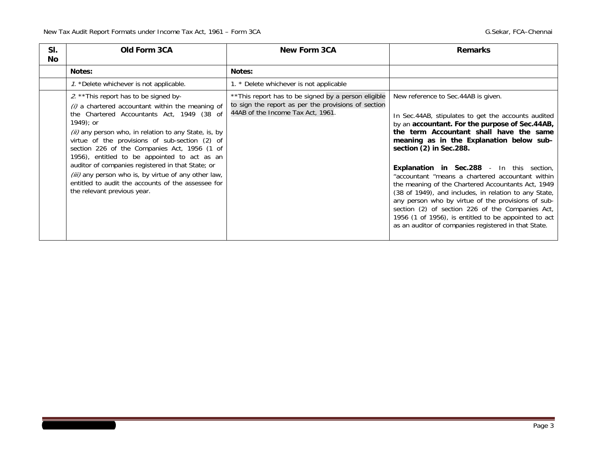| SI.<br><b>No</b> | Old Form 3CA                                                                                                                                                                                                                                                                                                                                                                                                                                                                                                                                                           | <b>New Form 3CA</b>                                                                                                                              | <b>Remarks</b>                                                                                                                                                                                                                                                                                                                                                                                                                                                                                                                                                                                                                                                                                                  |  |  |  |
|------------------|------------------------------------------------------------------------------------------------------------------------------------------------------------------------------------------------------------------------------------------------------------------------------------------------------------------------------------------------------------------------------------------------------------------------------------------------------------------------------------------------------------------------------------------------------------------------|--------------------------------------------------------------------------------------------------------------------------------------------------|-----------------------------------------------------------------------------------------------------------------------------------------------------------------------------------------------------------------------------------------------------------------------------------------------------------------------------------------------------------------------------------------------------------------------------------------------------------------------------------------------------------------------------------------------------------------------------------------------------------------------------------------------------------------------------------------------------------------|--|--|--|
|                  | Notes:                                                                                                                                                                                                                                                                                                                                                                                                                                                                                                                                                                 | Notes:                                                                                                                                           |                                                                                                                                                                                                                                                                                                                                                                                                                                                                                                                                                                                                                                                                                                                 |  |  |  |
|                  | 1. *Delete whichever is not applicable.                                                                                                                                                                                                                                                                                                                                                                                                                                                                                                                                | 1. * Delete whichever is not applicable                                                                                                          |                                                                                                                                                                                                                                                                                                                                                                                                                                                                                                                                                                                                                                                                                                                 |  |  |  |
|                  | 2. ** This report has to be signed by-<br>$(i)$ a chartered accountant within the meaning of<br>the Chartered Accountants Act, 1949 (38 of<br>$1949$ ; or<br>(ii) any person who, in relation to any State, is, by<br>virtue of the provisions of sub-section (2) of<br>section 226 of the Companies Act, 1956 (1 of<br>1956), entitled to be appointed to act as an<br>auditor of companies registered in that State; or<br>(iii) any person who is, by virtue of any other law,<br>entitled to audit the accounts of the assessee for<br>the relevant previous year. | ** This report has to be signed by a person eligible<br>to sign the report as per the provisions of section<br>44AB of the Income Tax Act, 1961. | New reference to Sec.44AB is given.<br>In Sec.44AB, stipulates to get the accounts audited<br>by an accountant. For the purpose of Sec.44AB,<br>the term Accountant shall have the same<br>meaning as in the Explanation below sub-<br>section (2) in Sec.288.<br><b>Explanation in Sec.288</b> - In this section,<br>"accountant "means a chartered accountant within<br>the meaning of the Chartered Accountants Act, 1949<br>(38 of 1949), and includes, in relation to any State,<br>any person who by virtue of the provisions of sub-<br>section (2) of section 226 of the Companies Act,<br>1956 (1 of 1956), is entitled to be appointed to act<br>as an auditor of companies registered in that State. |  |  |  |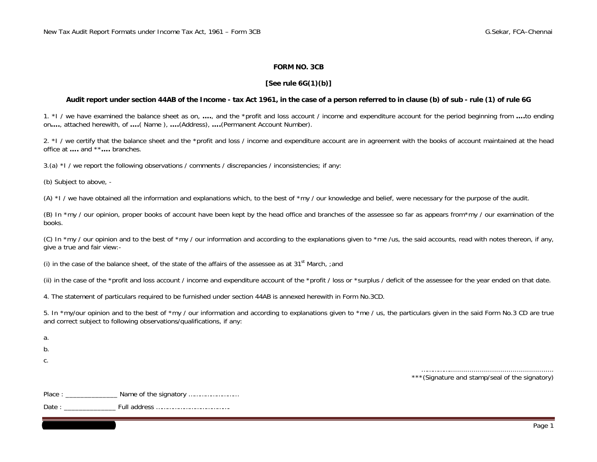#### **FORM NO. 3CB**

#### **[See rule 6G(1)(b)]**

#### **Audit report under section 44AB of the Income - tax Act 1961, in the case of a person referred to in clause (b) of sub - rule (1) of rule 6G**

1. \*I / we have examined the balance sheet as on, **….**, and the \*profit and loss account / income and expenditure account for the period beginning from **….**to ending on**….**, attached herewith, of **….**( Name ), **….**(Address), **….**(Permanent Account Number).

2. \*I / we certify that the balance sheet and the \*profit and loss / income and expenditure account are in agreement with the books of account maintained at the head office at **….** and \*\***….** branches.

3.(a) \*I / we report the following observations / comments / discrepancies / inconsistencies; if any:

(b) Subject to above, -

(A) \*I / we have obtained all the information and explanations which, to the best of \*my / our knowledge and belief, were necessary for the purpose of the audit.

(B) In \*my / our opinion, proper books of account have been kept by the head office and branches of the assessee so far as appears from \*my / our examination of the books.

(C) In \*my / our opinion and to the best of \*my / our information and according to the explanations given to \*me /us, the said accounts, read with notes thereon, if any, give a true and fair view:-

(i) in the case of the balance sheet, of the state of the affairs of the assessee as at 31<sup>st</sup> March, :and

(ii) in the case of the \*profit and loss account / income and expenditure account of the \*profit / loss or \*surplus / deficit of the assessee for the year ended on that date.

4. The statement of particulars required to be furnished under section 44AB is annexed herewith in Form No.3CD.

5. In \*my/our opinion and to the best of \*my / our information and according to explanations given to \*me / us, the particulars given in the said Form No.3 CD are true and correct subject to following observations/qualifications, if any:

a.

b.

c.

……………................................................... \*\*\*(Signature and stamp/seal of the signatory)

Place : \_\_\_\_\_\_\_\_\_\_\_\_\_\_ Name of the signatory ………………………

Date : \_\_\_\_\_\_\_\_\_\_\_\_\_\_ Full address ………………………………….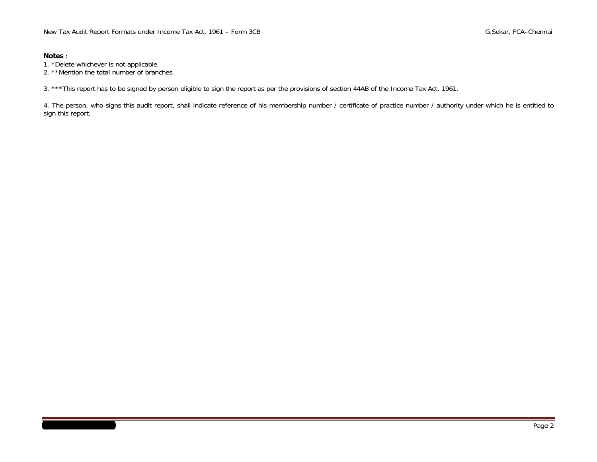### **Notes** :

- 1. \*Delete whichever is not applicable.
- 2. \*\*Mention the total number of branches.

3. \*\*\*This report has to be signed by person eligible to sign the report as per the provisions of section 44AB of the Income Tax Act, 1961.

4. The person, who signs this audit report, shall indicate reference of his membership number / certificate of practice number / authority under which he is entitled to sign this report.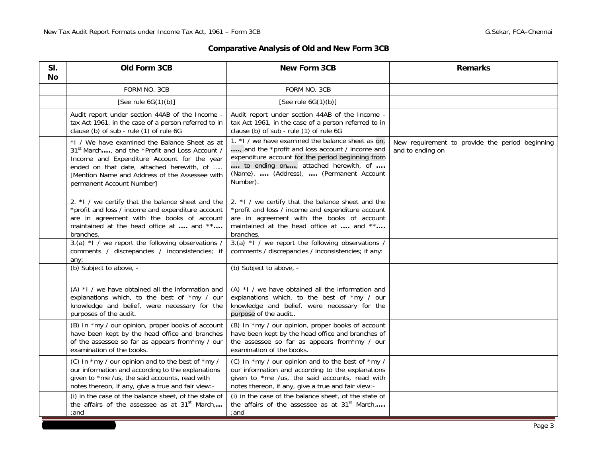## **Comparative Analysis of Old and New Form 3CB**

| SI.<br>No | Old Form 3CB                                                                                                                                                                                                                                                                                                                                                               | <b>New Form 3CB</b>                                                                                                                                                                                                                                     | <b>Remarks</b> |
|-----------|----------------------------------------------------------------------------------------------------------------------------------------------------------------------------------------------------------------------------------------------------------------------------------------------------------------------------------------------------------------------------|---------------------------------------------------------------------------------------------------------------------------------------------------------------------------------------------------------------------------------------------------------|----------------|
|           | FORM NO. 3CB                                                                                                                                                                                                                                                                                                                                                               | FORM NO. 3CB                                                                                                                                                                                                                                            |                |
|           | [See rule $6G(1)(b)$ ]                                                                                                                                                                                                                                                                                                                                                     | [See rule $6G(1)(b)$ ]                                                                                                                                                                                                                                  |                |
|           | Audit report under section 44AB of the Income -<br>tax Act 1961, in the case of a person referred to in<br>clause (b) of sub - rule (1) of rule 6G                                                                                                                                                                                                                         | Audit report under section 44AB of the Income -<br>tax Act 1961, in the case of a person referred to in<br>clause (b) of sub - rule (1) of rule 6G                                                                                                      |                |
|           | *1 / We have examined the Balance Sheet as at<br>31 <sup>st</sup> March, and the *Profit and Loss Account /<br>Income and Expenditure Account for the year<br>ended on that date, attached herewith, of<br>[Mention Name and Address of the Assessee with<br>permanent Account Number]                                                                                     | 1. *I / we have examined the balance sheet as on,<br>, and the *profit and loss account / income and<br>expenditure account for the period beginning from<br>to ending on, attached herewith, of<br>(Name),  (Address),  (Permanent Account<br>Number). |                |
|           | 2. *I / we certify that the balance sheet and the<br>*profit and loss / income and expenditure account<br>are in agreement with the books of account<br>maintained at the head office at  and **<br>branches.                                                                                                                                                              | 2. *I / we certify that the balance sheet and the<br>*profit and loss / income and expenditure account<br>are in agreement with the books of account<br>maintained at the head office at  and **<br>branches.                                           |                |
|           | 3.(a) *1 / we report the following observations /<br>comments / discrepancies / inconsistencies; if<br>any:                                                                                                                                                                                                                                                                | 3.(a) *I / we report the following observations /<br>comments / discrepancies / inconsistencies; if any:                                                                                                                                                |                |
|           | (b) Subject to above, -                                                                                                                                                                                                                                                                                                                                                    | (b) Subject to above, -                                                                                                                                                                                                                                 |                |
|           | $(A)$ *I / we have obtained all the information and<br>explanations which, to the best of *my / our<br>knowledge and belief, were necessary for the<br>purposes of the audit.                                                                                                                                                                                              | $(A)$ *I / we have obtained all the information and<br>explanations which, to the best of *my / our<br>knowledge and belief, were necessary for the<br>purpose of the audit                                                                             |                |
|           | (B) In *my / our opinion, proper books of account<br>(B) In *my / our opinion, proper books of account<br>have been kept by the head office and branches<br>have been kept by the head office and branches of<br>of the assessee so far as appears from*my / our<br>the assessee so far as appears from*my / our<br>examination of the books.<br>examination of the books. |                                                                                                                                                                                                                                                         |                |
|           | (C) In *my / our opinion and to the best of *my /<br>our information and according to the explanations<br>given to *me /us, the said accounts, read with<br>notes thereon, if any, give a true and fair view:-                                                                                                                                                             | (C) In *my / our opinion and to the best of *my /<br>our information and according to the explanations<br>given to *me /us, the said accounts, read with<br>notes thereon, if any, give a true and fair view:-                                          |                |
|           | (i) in the case of the balance sheet, of the state of<br>the affairs of the assessee as at $31st$ March,<br>;and                                                                                                                                                                                                                                                           | (i) in the case of the balance sheet, of the state of<br>the affairs of the assessee as at 31 <sup>st</sup> March,<br>;and                                                                                                                              |                |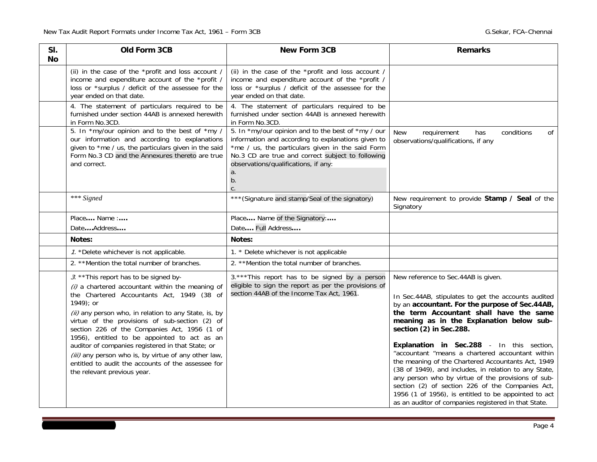| SI.<br>Νo | Old Form 3CB                                                                                                                                                                                                                                                                                                                                                                                                                                                                                                                                                       | <b>New Form 3CB</b>                                                                                                                                                                                                   | <b>Remarks</b>                                                                                                                                                                                                                                                                                                                                                                                                                                                                                                                                                                                                                                                                                           |
|-----------|--------------------------------------------------------------------------------------------------------------------------------------------------------------------------------------------------------------------------------------------------------------------------------------------------------------------------------------------------------------------------------------------------------------------------------------------------------------------------------------------------------------------------------------------------------------------|-----------------------------------------------------------------------------------------------------------------------------------------------------------------------------------------------------------------------|----------------------------------------------------------------------------------------------------------------------------------------------------------------------------------------------------------------------------------------------------------------------------------------------------------------------------------------------------------------------------------------------------------------------------------------------------------------------------------------------------------------------------------------------------------------------------------------------------------------------------------------------------------------------------------------------------------|
|           | (ii) in the case of the *profit and loss account /<br>income and expenditure account of the *profit /<br>loss or *surplus / deficit of the assessee for the<br>year ended on that date.                                                                                                                                                                                                                                                                                                                                                                            | (ii) in the case of the *profit and loss account /<br>income and expenditure account of the *profit /<br>loss or *surplus / deficit of the assessee for the<br>year ended on that date.                               |                                                                                                                                                                                                                                                                                                                                                                                                                                                                                                                                                                                                                                                                                                          |
|           | 4. The statement of particulars required to be<br>furnished under section 44AB is annexed herewith<br>in Form No.3CD.<br>5. In *my/our opinion and to the best of *my /                                                                                                                                                                                                                                                                                                                                                                                            | 4. The statement of particulars required to be<br>furnished under section 44AB is annexed herewith<br>in Form No.3CD.<br>5. In *my/our opinion and to the best of *my / our                                           | <b>New</b><br>conditions<br>requirement<br>οf<br>has                                                                                                                                                                                                                                                                                                                                                                                                                                                                                                                                                                                                                                                     |
|           | our information and according to explanations<br>given to *me / us, the particulars given in the said<br>Form No.3 CD and the Annexures thereto are true<br>and correct.                                                                                                                                                                                                                                                                                                                                                                                           | information and according to explanations given to<br>*me / us, the particulars given in the said Form<br>No.3 CD are true and correct subject to following<br>observations/qualifications, if any:<br>a.<br>b.<br>c. | observations/qualifications, if any                                                                                                                                                                                                                                                                                                                                                                                                                                                                                                                                                                                                                                                                      |
|           | *** Signed                                                                                                                                                                                                                                                                                                                                                                                                                                                                                                                                                         | *** (Signature and stamp/Seal of the signatory)                                                                                                                                                                       | New requirement to provide Stamp / Seal of the<br>Signatory                                                                                                                                                                                                                                                                                                                                                                                                                                                                                                                                                                                                                                              |
|           | Place Name :                                                                                                                                                                                                                                                                                                                                                                                                                                                                                                                                                       | Place Name of the Signatory:                                                                                                                                                                                          |                                                                                                                                                                                                                                                                                                                                                                                                                                                                                                                                                                                                                                                                                                          |
|           | DateAddress                                                                                                                                                                                                                                                                                                                                                                                                                                                                                                                                                        | Date Full Address                                                                                                                                                                                                     |                                                                                                                                                                                                                                                                                                                                                                                                                                                                                                                                                                                                                                                                                                          |
|           | Notes:                                                                                                                                                                                                                                                                                                                                                                                                                                                                                                                                                             | Notes:                                                                                                                                                                                                                |                                                                                                                                                                                                                                                                                                                                                                                                                                                                                                                                                                                                                                                                                                          |
|           | 1. *Delete whichever is not applicable.                                                                                                                                                                                                                                                                                                                                                                                                                                                                                                                            | 1. * Delete whichever is not applicable                                                                                                                                                                               |                                                                                                                                                                                                                                                                                                                                                                                                                                                                                                                                                                                                                                                                                                          |
|           | 2. ** Mention the total number of branches.                                                                                                                                                                                                                                                                                                                                                                                                                                                                                                                        | 2. **Mention the total number of branches.                                                                                                                                                                            |                                                                                                                                                                                                                                                                                                                                                                                                                                                                                                                                                                                                                                                                                                          |
|           | 3. ** This report has to be signed by-<br>(i) a chartered accountant within the meaning of<br>the Chartered Accountants Act, 1949 (38 of<br>1949); or<br>(ii) any person who, in relation to any State, is, by<br>virtue of the provisions of sub-section (2) of<br>section 226 of the Companies Act, 1956 (1 of<br>1956), entitled to be appointed to act as an<br>auditor of companies registered in that State; or<br>(iii) any person who is, by virtue of any other law,<br>entitled to audit the accounts of the assessee for<br>the relevant previous year. | 3.*** This report has to be signed by a person<br>eligible to sign the report as per the provisions of<br>section 44AB of the Income Tax Act, 1961.                                                                   | New reference to Sec.44AB is given.<br>In Sec.44AB, stipulates to get the accounts audited<br>by an accountant. For the purpose of Sec.44AB,<br>the term Accountant shall have the same<br>meaning as in the Explanation below sub-<br>section (2) in Sec.288.<br>Explanation in Sec.288 - In this section,<br>"accountant "means a chartered accountant within<br>the meaning of the Chartered Accountants Act, 1949<br>(38 of 1949), and includes, in relation to any State,<br>any person who by virtue of the provisions of sub-<br>section (2) of section 226 of the Companies Act,<br>1956 (1 of 1956), is entitled to be appointed to act<br>as an auditor of companies registered in that State. |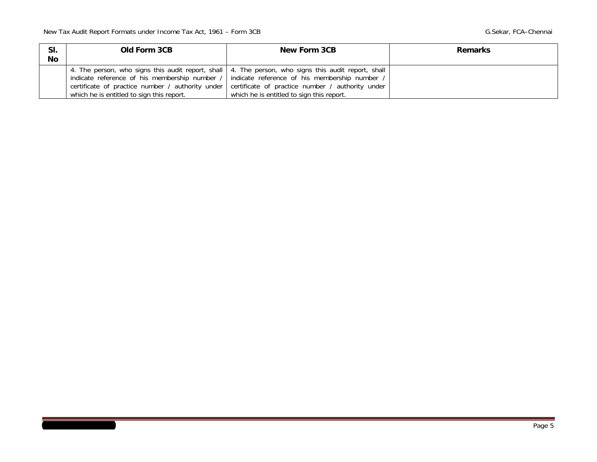| SI.<br>No | Old Form 3CB                              | New Form 3CB                                                                                                                                                                                                                                                                                                                                           | <b>Remarks</b> |
|-----------|-------------------------------------------|--------------------------------------------------------------------------------------------------------------------------------------------------------------------------------------------------------------------------------------------------------------------------------------------------------------------------------------------------------|----------------|
|           | which he is entitled to sign this report. | 4. The person, who signs this audit report, shall   4. The person, who signs this audit report, shall<br>indicate reference of his membership number / indicate reference of his membership number /<br>certificate of practice number / authority under certificate of practice number / authority under<br>which he is entitled to sign this report. |                |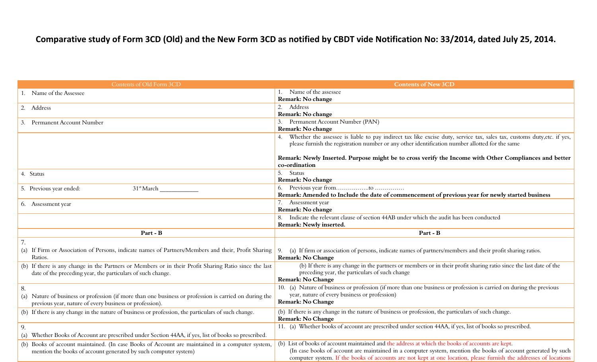# Comparative study of Form 3CD (Old) and the New Form 3CD as notified by CBDT vide Notification No: 33/2014, dated July 25, 2014.

| Contents of Old Form 3CD                                                                                                                                             | <b>Contents of New 3CD</b>                                                                                                                                                                                                 |
|----------------------------------------------------------------------------------------------------------------------------------------------------------------------|----------------------------------------------------------------------------------------------------------------------------------------------------------------------------------------------------------------------------|
| 1. Name of the Assessee                                                                                                                                              | Name of the assessee                                                                                                                                                                                                       |
|                                                                                                                                                                      | Remark: No change                                                                                                                                                                                                          |
| 2. Address                                                                                                                                                           | 2. Address                                                                                                                                                                                                                 |
|                                                                                                                                                                      | Remark: No change                                                                                                                                                                                                          |
| 3. Permanent Account Number                                                                                                                                          | 3. Permanent Account Number (PAN)                                                                                                                                                                                          |
|                                                                                                                                                                      | Remark: No change                                                                                                                                                                                                          |
|                                                                                                                                                                      | Whether the assessee is liable to pay indirect tax like excise duty, service tax, sales tax, customs duty, etc. if yes,<br>please furnish the registration number or any other identification number allotted for the same |
|                                                                                                                                                                      | Remark: Newly Inserted. Purpose might be to cross verify the Income with Other Compliances and better                                                                                                                      |
|                                                                                                                                                                      | co-ordination                                                                                                                                                                                                              |
| 4. Status                                                                                                                                                            | 5. Status                                                                                                                                                                                                                  |
|                                                                                                                                                                      | Remark: No change                                                                                                                                                                                                          |
| 31 <sup>st</sup> March<br>5. Previous year ended:                                                                                                                    |                                                                                                                                                                                                                            |
|                                                                                                                                                                      | Remark: Amended to Include the date of commencement of previous year for newly started business                                                                                                                            |
| 6. Assessment year                                                                                                                                                   | 7. Assessment year                                                                                                                                                                                                         |
|                                                                                                                                                                      | Remark: No change                                                                                                                                                                                                          |
|                                                                                                                                                                      | Indicate the relevant clause of section 44AB under which the audit has been conducted                                                                                                                                      |
|                                                                                                                                                                      | Remark: Newly inserted.                                                                                                                                                                                                    |
| Part - B                                                                                                                                                             | Part - B                                                                                                                                                                                                                   |
|                                                                                                                                                                      |                                                                                                                                                                                                                            |
| (a) If Firm or Association of Persons, indicate names of Partners/Members and their, Profit Sharing<br>Ratios.                                                       | 9. (a) If firm or association of persons, indicate names of partners/members and their profit sharing ratios.<br><b>Remark: No Change</b>                                                                                  |
| (b) If there is any change in the Partners or Members or in their Profit Sharing Ratio since the last<br>date of the preceding year, the particulars of such change. | (b) If there is any change in the partners or members or in their profit sharing ratio since the last date of the<br>preceding year, the particulars of such change<br>Remark: No Change                                   |
| 8.                                                                                                                                                                   | 10. (a) Nature of business or profession (if more than one business or profession is carried on during the previous                                                                                                        |
| (a) Nature of business or profession (if more than one business or profession is carried on during the                                                               | year, nature of every business or profession)                                                                                                                                                                              |
| previous year, nature of every business or profession).                                                                                                              | <b>Remark: No Change</b>                                                                                                                                                                                                   |
| (b) If there is any change in the nature of business or profession, the particulars of such change.                                                                  | (b) If there is any change in the nature of business or profession, the particulars of such change.                                                                                                                        |
|                                                                                                                                                                      | <b>Remark: No Change</b>                                                                                                                                                                                                   |
| 9.                                                                                                                                                                   | 11. (a) Whether books of account are prescribed under section 44AA, if yes, list of books so prescribed.                                                                                                                   |
| (a) Whether Books of Account are prescribed under Section 44AA, if yes, list of books so prescribed.                                                                 |                                                                                                                                                                                                                            |
| (b) Books of account maintained. (In case Books of Account are maintained in a computer system,                                                                      | (b) List of books of account maintained and the address at which the books of accounts are kept.                                                                                                                           |
| mention the books of account generated by such computer system)                                                                                                      | (In case books of account are maintained in a computer system, mention the books of account generated by such                                                                                                              |
|                                                                                                                                                                      | computer system. If the books of accounts are not kept at one location, please furnish the addresses of locations                                                                                                          |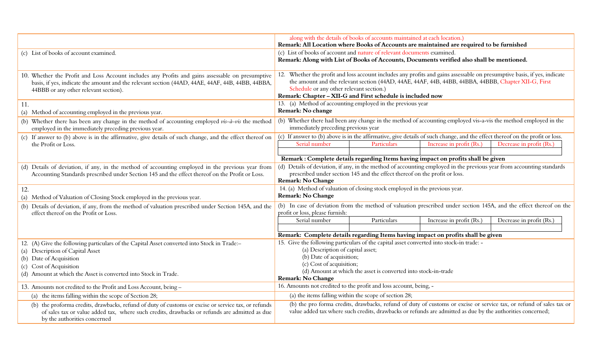|             |                                                                                                                                                                                                                                                          | along with the details of books of accounts maintained at each location.)<br>Remark: All Location where Books of Accounts are maintained are required to be furnished                                                                                                                                                                      |                                                       |                                                                                                            |                                                                                                                     |  |
|-------------|----------------------------------------------------------------------------------------------------------------------------------------------------------------------------------------------------------------------------------------------------------|--------------------------------------------------------------------------------------------------------------------------------------------------------------------------------------------------------------------------------------------------------------------------------------------------------------------------------------------|-------------------------------------------------------|------------------------------------------------------------------------------------------------------------|---------------------------------------------------------------------------------------------------------------------|--|
|             | (c) List of books of account examined.                                                                                                                                                                                                                   | (c) List of books of account and nature of relevant documents examined.<br>Remark: Along with List of Books of Accounts, Documents verified also shall be mentioned.                                                                                                                                                                       |                                                       |                                                                                                            |                                                                                                                     |  |
|             | 10. Whether the Profit and Loss Account includes any Profits and gains assessable on presumptive<br>basis, if yes, indicate the amount and the relevant section (44AD, 44AE, 44AF, 44B, 44BB, 44BBA,<br>44BBB or any other relevant section).            | 12. Whether the profit and loss account includes any profits and gains assessable on presumptive basis, if yes, indicate<br>the amount and the relevant section (44AD, 44AE, 44AF, 44B, 44BB, 44BBA, 44BBB, Chapter XII-G, First<br>Schedule or any other relevant section.)<br>Remark: Chapter - XII-G and First schedule is included now |                                                       |                                                                                                            |                                                                                                                     |  |
| $\vert$ 11. | (a) Method of accounting employed in the previous year.                                                                                                                                                                                                  | 13. (a) Method of accounting employed in the previous year<br>Remark: No change                                                                                                                                                                                                                                                            |                                                       |                                                                                                            |                                                                                                                     |  |
|             | (b) Whether there has been any change in the method of accounting employed $vis-\hat{a}-vis$ the method<br>employed in the immediately preceding previous year.                                                                                          | immediately preceding previous year                                                                                                                                                                                                                                                                                                        |                                                       |                                                                                                            | (b) Whether there had been any change in the method of accounting employed vis-a-vis the method employed in the     |  |
|             | (c) If answer to (b) above is in the affirmative, give details of such change, and the effect thereof on<br>the Profit or Loss.                                                                                                                          | (c) If answer to (b) above is in the affirmative, give details of such change, and the effect thereof on the profit or loss.<br>Decrease in profit (Rs.<br>Serial number<br>Particulars<br>Increase in profit (Rs.)                                                                                                                        |                                                       |                                                                                                            |                                                                                                                     |  |
|             |                                                                                                                                                                                                                                                          |                                                                                                                                                                                                                                                                                                                                            |                                                       | Remark : Complete details regarding Items having impact on profits shall be given                          |                                                                                                                     |  |
|             | (d) Details of deviation, if any, in the method of accounting employed in the previous year from<br>Accounting Standards prescribed under Section 145 and the effect thereof on the Profit or Loss.                                                      | (d) Details of deviation, if any, in the method of accounting employed in the previous year from accounting standards<br>prescribed under section 145 and the effect thereof on the profit or loss.<br><b>Remark: No Change</b>                                                                                                            |                                                       |                                                                                                            |                                                                                                                     |  |
| 12.         | (a) Method of Valuation of Closing Stock employed in the previous year.                                                                                                                                                                                  | 14. (a) Method of valuation of closing stock employed in the previous year.<br><b>Remark: No Change</b>                                                                                                                                                                                                                                    |                                                       |                                                                                                            |                                                                                                                     |  |
|             | (b) Details of deviation, if any, from the method of valuation prescribed under Section 145A, and the<br>effect thereof on the Profit or Loss.                                                                                                           | profit or loss, please furnish:                                                                                                                                                                                                                                                                                                            |                                                       |                                                                                                            | (b) In case of deviation from the method of valuation prescribed under section 145A, and the effect thereof on the  |  |
|             |                                                                                                                                                                                                                                                          | Serial number                                                                                                                                                                                                                                                                                                                              | Particulars                                           | Increase in profit (Rs.)                                                                                   | Decrease in profit (Rs.)                                                                                            |  |
|             |                                                                                                                                                                                                                                                          |                                                                                                                                                                                                                                                                                                                                            |                                                       |                                                                                                            |                                                                                                                     |  |
|             |                                                                                                                                                                                                                                                          | Remark: Complete details regarding Items having impact on profits shall be given                                                                                                                                                                                                                                                           |                                                       |                                                                                                            |                                                                                                                     |  |
|             | 12. (A) Give the following particulars of the Capital Asset converted into Stock in Trade:-<br>(a) Description of Capital Asset<br>(b) Date of Acquisition<br>(c) Cost of Acquisition<br>(d) Amount at which the Asset is converted into Stock in Trade. | 15. Give the following particulars of the capital asset converted into stock-in trade: -<br>(a) Description of capital asset;<br>(b) Date of acquisition;<br>(c) Cost of acquisition;<br>(d) Amount at which the asset is converted into stock-in-trade<br><b>Remark: No Change</b>                                                        |                                                       |                                                                                                            |                                                                                                                     |  |
|             | 13. Amounts not credited to the Profit and Loss Account, being -                                                                                                                                                                                         | 16. Amounts not credited to the profit and loss account, being, -                                                                                                                                                                                                                                                                          |                                                       |                                                                                                            |                                                                                                                     |  |
|             | (a) the items falling within the scope of Section 28;                                                                                                                                                                                                    |                                                                                                                                                                                                                                                                                                                                            | (a) the items falling within the scope of section 28; |                                                                                                            |                                                                                                                     |  |
|             | (b) the proforma credits, drawbacks, refund of duty of customs or excise or service tax, or refunds<br>of sales tax or value added tax, where such credits, drawbacks or refunds are admitted as due<br>by the authorities concerned                     |                                                                                                                                                                                                                                                                                                                                            |                                                       | value added tax where such credits, drawbacks or refunds are admitted as due by the authorities concerned; | (b) the pro forma credits, drawbacks, refund of duty of customs or excise or service tax, or refund of sales tax or |  |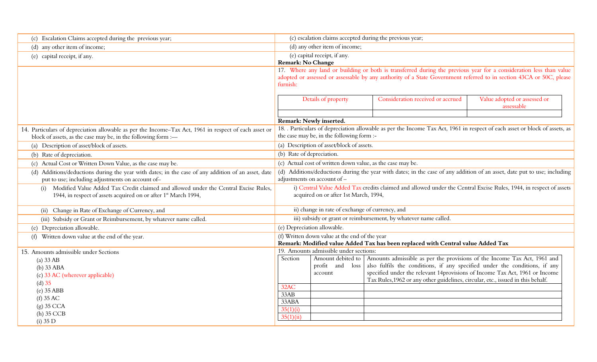| (c) Escalation Claims accepted during the previous year;                                                                                                                  |                                                                                                                                                                                                                                                       |                                                            | (c) escalation claims accepted during the previous year;                                                                                                                                                                                                                                                                                     |  |  |
|---------------------------------------------------------------------------------------------------------------------------------------------------------------------------|-------------------------------------------------------------------------------------------------------------------------------------------------------------------------------------------------------------------------------------------------------|------------------------------------------------------------|----------------------------------------------------------------------------------------------------------------------------------------------------------------------------------------------------------------------------------------------------------------------------------------------------------------------------------------------|--|--|
| (d) any other item of income;                                                                                                                                             | (d) any other item of income;                                                                                                                                                                                                                         |                                                            |                                                                                                                                                                                                                                                                                                                                              |  |  |
| (e) capital receipt, if any.                                                                                                                                              | (e) capital receipt, if any.<br><b>Remark: No Change</b>                                                                                                                                                                                              |                                                            |                                                                                                                                                                                                                                                                                                                                              |  |  |
|                                                                                                                                                                           | 17. Where any land or building or both is transferred during the previous year for a consideration less than value<br>adopted or assessed or assessable by any authority of a State Government referred to in section 43CA or 50C, please<br>furnish: |                                                            |                                                                                                                                                                                                                                                                                                                                              |  |  |
|                                                                                                                                                                           | Value adopted or assessed or<br>Consideration received or accrued<br>Details of property<br>assessable                                                                                                                                                |                                                            |                                                                                                                                                                                                                                                                                                                                              |  |  |
|                                                                                                                                                                           |                                                                                                                                                                                                                                                       | Remark: Newly inserted.                                    |                                                                                                                                                                                                                                                                                                                                              |  |  |
| 14. Particulars of depreciation allowable as per the Income-Tax Act, 1961 in respect of each asset or<br>block of assets, as the case may be, in the following form :-    |                                                                                                                                                                                                                                                       | the case may be, in the following form :-                  | 18. . Particulars of depreciation allowable as per the Income Tax Act, 1961 in respect of each asset or block of assets, as                                                                                                                                                                                                                  |  |  |
| (a) Description of asset/block of assets.                                                                                                                                 |                                                                                                                                                                                                                                                       | (a) Description of asset/block of assets.                  |                                                                                                                                                                                                                                                                                                                                              |  |  |
| (b) Rate of depreciation.                                                                                                                                                 | (b) Rate of depreciation.                                                                                                                                                                                                                             |                                                            |                                                                                                                                                                                                                                                                                                                                              |  |  |
| (c) Actual Cost or Written Down Value, as the case may be.                                                                                                                |                                                                                                                                                                                                                                                       | (c) Actual cost of written down value, as the case may be. |                                                                                                                                                                                                                                                                                                                                              |  |  |
| (d) Additions/deductions during the year with dates; in the case of any addition of an asset, date<br>put to use; including adjustments on account of-                    | (d)                                                                                                                                                                                                                                                   | adjustments on account of -                                | Additions/deductions during the year with dates; in the case of any addition of an asset, date put to use; including                                                                                                                                                                                                                         |  |  |
| Modified Value Added Tax Credit claimed and allowed under the Central Excise Rules,<br>(i)<br>1944, in respect of assets acquired on or after 1 <sup>st</sup> March 1994, |                                                                                                                                                                                                                                                       | acquired on or after 1st March, 1994,                      | i) Central Value Added Tax credits claimed and allowed under the Central Excise Rules, 1944, in respect of assets                                                                                                                                                                                                                            |  |  |
| (ii) Change in Rate of Exchange of Currency, and                                                                                                                          |                                                                                                                                                                                                                                                       | ii) change in rate of exchange of currency, and            |                                                                                                                                                                                                                                                                                                                                              |  |  |
| (iii) Subsidy or Grant or Reimbursement, by whatever name called.                                                                                                         |                                                                                                                                                                                                                                                       |                                                            | iii) subsidy or grant or reimbursement, by whatever name called.                                                                                                                                                                                                                                                                             |  |  |
| (e) Depreciation allowable.                                                                                                                                               |                                                                                                                                                                                                                                                       | (e) Depreciation allowable.                                |                                                                                                                                                                                                                                                                                                                                              |  |  |
| Written down value at the end of the year.<br>(f)                                                                                                                         |                                                                                                                                                                                                                                                       | (f) Written down value at the end of the year              | Remark: Modified value Added Tax has been replaced with Central value Added Tax                                                                                                                                                                                                                                                              |  |  |
| 15. Amounts admissible under Sections                                                                                                                                     | 19. Amounts admissible under sections:                                                                                                                                                                                                                |                                                            |                                                                                                                                                                                                                                                                                                                                              |  |  |
| $(a)$ 33 AB<br>$(b)$ 33 ABA<br>(c) 33 AC (wherever applicable)<br>$(d)$ 35                                                                                                | Section                                                                                                                                                                                                                                               | profit and loss<br>account                                 | Amount debited to   Amounts admissible as per the provisions of the Income Tax Act, 1961 and<br>also fulfils the conditions, if any specified under the conditions, if any<br>specified under the relevant 14provisions of Income Tax Act, 1961 or Income<br>Tax Rules, 1962 or any other guidelines, circular, etc., issued in this behalf. |  |  |
| $(e)$ 35 ABB                                                                                                                                                              | 32AC                                                                                                                                                                                                                                                  |                                                            |                                                                                                                                                                                                                                                                                                                                              |  |  |
| $(f)$ 35 AC                                                                                                                                                               | 33AB                                                                                                                                                                                                                                                  |                                                            |                                                                                                                                                                                                                                                                                                                                              |  |  |
| $(g)$ 35 CCA                                                                                                                                                              | 33ABA<br>35(1)(i)                                                                                                                                                                                                                                     |                                                            |                                                                                                                                                                                                                                                                                                                                              |  |  |
| $(h)$ 35 CCB                                                                                                                                                              | 35(1)(ii)                                                                                                                                                                                                                                             |                                                            |                                                                                                                                                                                                                                                                                                                                              |  |  |
| (i) 35 D                                                                                                                                                                  |                                                                                                                                                                                                                                                       |                                                            |                                                                                                                                                                                                                                                                                                                                              |  |  |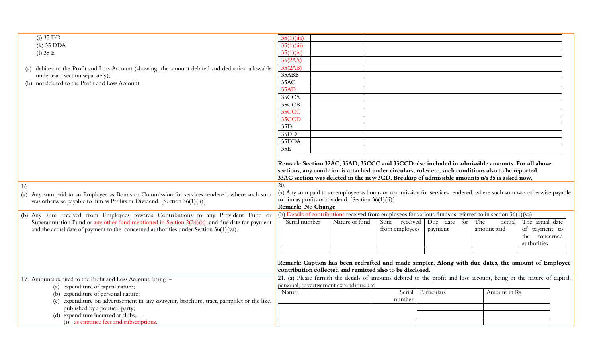| $(i)$ 35 DD                                                                                                                                                              | 35(1)(ii)                                                                                                                                                                                                                                                                                             |                |                 |              |               |                                               |  |
|--------------------------------------------------------------------------------------------------------------------------------------------------------------------------|-------------------------------------------------------------------------------------------------------------------------------------------------------------------------------------------------------------------------------------------------------------------------------------------------------|----------------|-----------------|--------------|---------------|-----------------------------------------------|--|
| $(k)$ 35 DDA                                                                                                                                                             | 35(1)(iii)                                                                                                                                                                                                                                                                                            |                |                 |              |               |                                               |  |
| $(l)$ 35 E                                                                                                                                                               | 35(1)(iv)                                                                                                                                                                                                                                                                                             |                |                 |              |               |                                               |  |
|                                                                                                                                                                          | 35(2AA)                                                                                                                                                                                                                                                                                               |                |                 |              |               |                                               |  |
| (a) debited to the Profit and Loss Account (showing the amount debited and deduction allowable                                                                           | 35(2AB)                                                                                                                                                                                                                                                                                               |                |                 |              |               |                                               |  |
| under each section separately);                                                                                                                                          | 35ABB                                                                                                                                                                                                                                                                                                 |                |                 |              |               |                                               |  |
| (b) not debited to the Profit and Loss Account                                                                                                                           | 35AC                                                                                                                                                                                                                                                                                                  |                |                 |              |               |                                               |  |
|                                                                                                                                                                          | 35AD                                                                                                                                                                                                                                                                                                  |                |                 |              |               |                                               |  |
|                                                                                                                                                                          | 35CCA                                                                                                                                                                                                                                                                                                 |                |                 |              |               |                                               |  |
|                                                                                                                                                                          | 35CCB                                                                                                                                                                                                                                                                                                 |                |                 |              |               |                                               |  |
|                                                                                                                                                                          | 35CCC                                                                                                                                                                                                                                                                                                 |                |                 |              |               |                                               |  |
|                                                                                                                                                                          | 35CCD                                                                                                                                                                                                                                                                                                 |                |                 |              |               |                                               |  |
|                                                                                                                                                                          | 35D                                                                                                                                                                                                                                                                                                   |                |                 |              |               |                                               |  |
|                                                                                                                                                                          | 35DD                                                                                                                                                                                                                                                                                                  |                |                 |              |               |                                               |  |
|                                                                                                                                                                          | 35DDA                                                                                                                                                                                                                                                                                                 |                |                 |              |               |                                               |  |
|                                                                                                                                                                          | 35E                                                                                                                                                                                                                                                                                                   |                |                 |              |               |                                               |  |
|                                                                                                                                                                          | Remark: Section 32AC, 35AD, 35CCC and 35CCD also included in admissible amounts. For all above<br>sections, any condition is attached under circulars, rules etc, such conditions also to be reported.<br>33AC section was deleted in the new 3CD. Breakup of admissible amounts u/s 35 is asked now. |                |                 |              |               |                                               |  |
| 16.                                                                                                                                                                      | 20.                                                                                                                                                                                                                                                                                                   |                |                 |              |               |                                               |  |
| (a) Any sum paid to an Employee as Bonus or Commission for services rendered, where such sum<br>was otherwise payable to him as Profits or Dividend. [Section 36(1)(ii)] | (a) Any sum paid to an employee as bonus or commission for services rendered, where such sum was otherwise payable<br>to him as profits or dividend. [Section 36(1)(ii)]<br>Remark: No Change                                                                                                         |                |                 |              |               |                                               |  |
| (b) Any sum received from Employees towards Contributions to any Provident Fund or                                                                                       | (b) Details of contributions received from employees for various funds as referred to in section 36(1)(va):                                                                                                                                                                                           |                |                 |              |               |                                               |  |
| Superannuation Fund or any other fund mentioned in Section $2(24)(x)$ ; and due date for payment                                                                         | Serial number                                                                                                                                                                                                                                                                                         | Nature of fund | received<br>Sum | Due date for | The<br>actual | The actual date                               |  |
| and the actual date of payment to the concerned authorities under Section 36(1)(va).                                                                                     |                                                                                                                                                                                                                                                                                                       |                | from employees  | payment      | amount paid   | of payment to<br>the concerned<br>authorities |  |
|                                                                                                                                                                          |                                                                                                                                                                                                                                                                                                       |                |                 |              |               |                                               |  |
|                                                                                                                                                                          | Remark: Caption has been redrafted and made simpler. Along with due dates, the amount of Employee<br>contribution collected and remitted also to be disclosed.                                                                                                                                        |                |                 |              |               |                                               |  |
| 17. Amounts debited to the Profit and Loss Account, being :-                                                                                                             | 21. (a) Please furnish the details of amounts debited to the profit and loss account, being in the nature of capital,                                                                                                                                                                                 |                |                 |              |               |                                               |  |
| (a) expenditure of capital nature;                                                                                                                                       | personal, advertisement expenditure etc                                                                                                                                                                                                                                                               |                |                 |              |               |                                               |  |
| (b) expenditure of personal nature;                                                                                                                                      | Nature                                                                                                                                                                                                                                                                                                |                | Serial          | Particulars  | Amount in Rs. |                                               |  |
| (c) expenditure on advertisement in any souvenir, brochure, tract, pamphlet or the like,                                                                                 |                                                                                                                                                                                                                                                                                                       |                | number          |              |               |                                               |  |
| published by a political party;                                                                                                                                          |                                                                                                                                                                                                                                                                                                       |                |                 |              |               |                                               |  |
| (d) expenditure incurred at clubs, -                                                                                                                                     |                                                                                                                                                                                                                                                                                                       |                |                 |              |               |                                               |  |
| (i) as entrance fees and subscriptions.                                                                                                                                  |                                                                                                                                                                                                                                                                                                       |                |                 |              |               |                                               |  |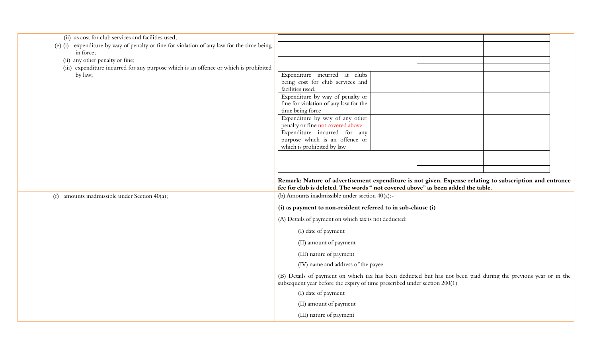| (ii) as cost for club services and facilities used;                                       |                                                                                                                                                                                             |
|-------------------------------------------------------------------------------------------|---------------------------------------------------------------------------------------------------------------------------------------------------------------------------------------------|
| (e) (i) expenditure by way of penalty or fine for violation of any law for the time being |                                                                                                                                                                                             |
| in force;                                                                                 |                                                                                                                                                                                             |
| (ii) any other penalty or fine;                                                           |                                                                                                                                                                                             |
| (iii) expenditure incurred for any purpose which is an offence or which is prohibited     |                                                                                                                                                                                             |
| by law;                                                                                   | Expenditure incurred at clubs<br>being cost for club services and                                                                                                                           |
|                                                                                           | facilities used.                                                                                                                                                                            |
|                                                                                           | Expenditure by way of penalty or                                                                                                                                                            |
|                                                                                           | fine for violation of any law for the                                                                                                                                                       |
|                                                                                           | time being force                                                                                                                                                                            |
|                                                                                           | Expenditure by way of any other                                                                                                                                                             |
|                                                                                           | penalty or fine not covered above                                                                                                                                                           |
|                                                                                           | Expenditure incurred for any                                                                                                                                                                |
|                                                                                           | purpose which is an offence or<br>which is prohibited by law                                                                                                                                |
|                                                                                           |                                                                                                                                                                                             |
|                                                                                           |                                                                                                                                                                                             |
|                                                                                           |                                                                                                                                                                                             |
|                                                                                           |                                                                                                                                                                                             |
|                                                                                           | Remark: Nature of advertisement expenditure is not given. Expense relating to subscription and entrance<br>fee for club is deleted. The words " not covered above" as been added the table. |
| amounts inadmissible under Section 40(a);<br>(f)                                          | (b) Amounts inadmissible under section $40(a)$ :-                                                                                                                                           |
|                                                                                           | (i) as payment to non-resident referred to in sub-clause (i)                                                                                                                                |
|                                                                                           | (A) Details of payment on which tax is not deducted:                                                                                                                                        |
|                                                                                           | (I) date of payment                                                                                                                                                                         |
|                                                                                           | (II) amount of payment                                                                                                                                                                      |
|                                                                                           | (III) nature of payment                                                                                                                                                                     |
|                                                                                           | (IV) name and address of the payee                                                                                                                                                          |
|                                                                                           | (B) Details of payment on which tax has been deducted but has not been paid during the previous year or in the<br>subsequent year before the expiry of time prescribed under section 200(1) |
|                                                                                           | (I) date of payment                                                                                                                                                                         |
|                                                                                           | (II) amount of payment                                                                                                                                                                      |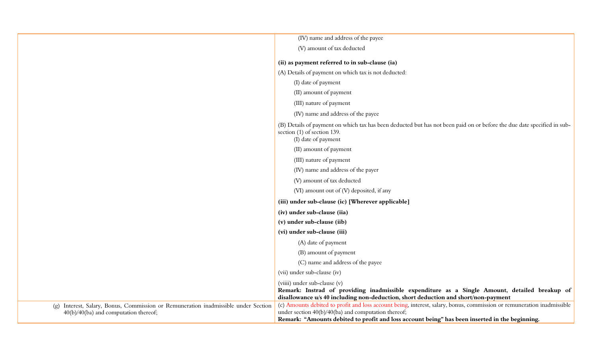|                                                                                                                             | (IV) name and address of the payee                                                                                                                                                                                                                                              |
|-----------------------------------------------------------------------------------------------------------------------------|---------------------------------------------------------------------------------------------------------------------------------------------------------------------------------------------------------------------------------------------------------------------------------|
|                                                                                                                             | (V) amount of tax deducted                                                                                                                                                                                                                                                      |
|                                                                                                                             | (ii) as payment referred to in sub-clause (ia)                                                                                                                                                                                                                                  |
|                                                                                                                             | (A) Details of payment on which tax is not deducted:                                                                                                                                                                                                                            |
|                                                                                                                             | (I) date of payment                                                                                                                                                                                                                                                             |
|                                                                                                                             | (II) amount of payment                                                                                                                                                                                                                                                          |
|                                                                                                                             | (III) nature of payment                                                                                                                                                                                                                                                         |
|                                                                                                                             | (IV) name and address of the payee                                                                                                                                                                                                                                              |
|                                                                                                                             | (B) Details of payment on which tax has been deducted but has not been paid on or before the due date specified in sub-<br>section (1) of section 139.<br>(I) date of payment                                                                                                   |
|                                                                                                                             | (II) amount of payment                                                                                                                                                                                                                                                          |
|                                                                                                                             | (III) nature of payment                                                                                                                                                                                                                                                         |
|                                                                                                                             | (IV) name and address of the payer                                                                                                                                                                                                                                              |
|                                                                                                                             | (V) amount of tax deducted                                                                                                                                                                                                                                                      |
|                                                                                                                             | (VI) amount out of (V) deposited, if any                                                                                                                                                                                                                                        |
|                                                                                                                             | (iii) under sub-clause (ic) [Wherever applicable]                                                                                                                                                                                                                               |
|                                                                                                                             | (iv) under sub-clause (iia)                                                                                                                                                                                                                                                     |
|                                                                                                                             | (v) under sub-clause (iib)                                                                                                                                                                                                                                                      |
|                                                                                                                             | (vi) under sub-clause (iii)                                                                                                                                                                                                                                                     |
|                                                                                                                             | (A) date of payment                                                                                                                                                                                                                                                             |
|                                                                                                                             | (B) amount of payment                                                                                                                                                                                                                                                           |
|                                                                                                                             | (C) name and address of the payee                                                                                                                                                                                                                                               |
|                                                                                                                             | (vii) under sub-clause (iv)                                                                                                                                                                                                                                                     |
|                                                                                                                             | (viiii) under sub-clause (v)<br>Remark: Instrad of providing inadmissible expenditure as a Single Amount, detailed breakup of<br>disallowance u/s 40 including non-deduction, short deduction and short/non-payment                                                             |
| (g) Interest, Salary, Bonus, Commission or Remuneration inadmissible under Section<br>40(b)/40(ba) and computation thereof; | (c) Amounts debited to profit and loss account being, interest, salary, bonus, commission or remuneration inadmissible<br>under section 40(b)/40(ba) and computation thereof;<br>Remark: "Amounts debited to profit and loss account being" has been inserted in the beginning. |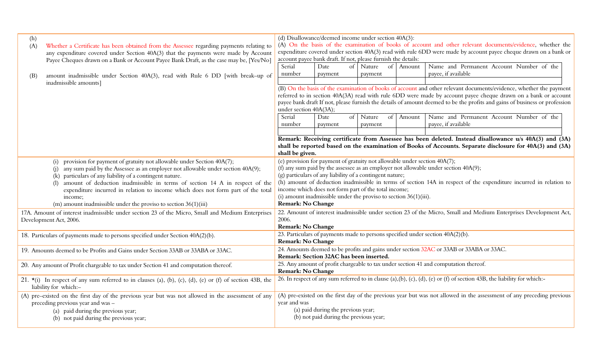| (h)<br>(A) | Whether a Certificate has been obtained from the Assessee regarding payments relating to<br>any expenditure covered under Section 40A(3) that the payments were made by Account                                                                                                                                                                                                                                                                                         | (d) Disallowance/deemed income under section 40A(3):<br>(A) On the basis of the examination of books of account and other relevant documents/evidence, whether the<br>expenditure covered under section 40A(3) read with rule 6DD were made by account payee cheque drawn on a bank or<br>account payee bank draft. If not, please furnish the details:                                                                                                                                                   |                                                                              |    |                         |           |                                                                                                                         |
|------------|-------------------------------------------------------------------------------------------------------------------------------------------------------------------------------------------------------------------------------------------------------------------------------------------------------------------------------------------------------------------------------------------------------------------------------------------------------------------------|-----------------------------------------------------------------------------------------------------------------------------------------------------------------------------------------------------------------------------------------------------------------------------------------------------------------------------------------------------------------------------------------------------------------------------------------------------------------------------------------------------------|------------------------------------------------------------------------------|----|-------------------------|-----------|-------------------------------------------------------------------------------------------------------------------------|
|            | Payee Cheques drawn on a Bank or Account Payee Bank Draft, as the case may be, [Yes/No]                                                                                                                                                                                                                                                                                                                                                                                 | Serial                                                                                                                                                                                                                                                                                                                                                                                                                                                                                                    | Date                                                                         |    | of Nature               | of Amount | Name and Permanent Account Number of the                                                                                |
| (B)        | amount inadmissible under Section 40A(3), read with Rule 6 DD [with break-up of<br>inadmissible amounts]                                                                                                                                                                                                                                                                                                                                                                | number                                                                                                                                                                                                                                                                                                                                                                                                                                                                                                    | payment                                                                      |    | payment                 |           | payee, if available                                                                                                     |
|            |                                                                                                                                                                                                                                                                                                                                                                                                                                                                         | (B) On the basis of the examination of books of account and other relevant documents/evidence, whether the payment<br>referred to in section 40A(3A) read with rule 6DD were made by account payee cheque drawn on a bank or account<br>payee bank draft If not, please furnish the details of amount deemed to be the profits and gains of business or profession<br>under section 40A(3A);                                                                                                              |                                                                              |    |                         |           |                                                                                                                         |
|            |                                                                                                                                                                                                                                                                                                                                                                                                                                                                         | Serial<br>number                                                                                                                                                                                                                                                                                                                                                                                                                                                                                          | Date<br>payment                                                              | of | Nature<br>of<br>payment | Amount    | Name and Permanent Account Number of the<br>payee, if available                                                         |
|            |                                                                                                                                                                                                                                                                                                                                                                                                                                                                         | Remark: Receiving certificate from Assessee has been deleted. Instead disallowance u/s 40A(3) and (3A)<br>shall be reported based on the examination of Books of Accounts. Separate disclosure for 40A(3) and (3A)<br>shall be given.                                                                                                                                                                                                                                                                     |                                                                              |    |                         |           |                                                                                                                         |
|            | provision for payment of gratuity not allowable under Section 40A(7);<br>any sum paid by the Assessee as an employer not allowable under section 40A(9);<br>(k) particulars of any liability of a contingent nature.<br>amount of deduction inadmissible in terms of section 14 A in respect of the<br>expenditure incurred in relation to income which does not form part of the total<br>income;<br>(m) amount inadmissible under the proviso to section $36(1)(iii)$ | (e) provision for payment of gratuity not allowable under section 40A(7);<br>(f) any sum paid by the assessee as an employer not allowable under section $40A(9)$ ;<br>(g) particulars of any liability of a contingent nature;<br>(h) amount of deduction inadmissible in terms of section 14A in respect of the expenditure incurred in relation to<br>income which does not form part of the total income;<br>(i) amount inadmissible under the proviso to section $36(1)(iii)$ .<br>Remark: No Change |                                                                              |    |                         |           |                                                                                                                         |
|            | 17A. Amount of interest inadmissible under section 23 of the Micro, Small and Medium Enterprises<br>Development Act, 2006.                                                                                                                                                                                                                                                                                                                                              | 2006.<br>Remark: No Change                                                                                                                                                                                                                                                                                                                                                                                                                                                                                |                                                                              |    |                         |           | 22. Amount of interest inadmissible under section 23 of the Micro, Small and Medium Enterprises Development Act,        |
|            | 18. Particulars of payments made to persons specified under Section 40A(2)(b).                                                                                                                                                                                                                                                                                                                                                                                          | <b>Remark: No Change</b>                                                                                                                                                                                                                                                                                                                                                                                                                                                                                  |                                                                              |    |                         |           | 23. Particulars of payments made to persons specified under section 40A(2)(b).                                          |
|            | 19. Amounts deemed to be Profits and Gains under Section 33AB or 33ABA or 33AC.                                                                                                                                                                                                                                                                                                                                                                                         | Remark: Section 32AC has been inserted.                                                                                                                                                                                                                                                                                                                                                                                                                                                                   |                                                                              |    |                         |           | 24. Amounts deemed to be profits and gains under section 32AC or 33AB or 33ABA or 33AC.                                 |
|            | 20. Any amount of Profit chargeable to tax under Section 41 and computation thereof.                                                                                                                                                                                                                                                                                                                                                                                    | 25. Any amount of profit chargeable to tax under section 41 and computation thereof.<br><b>Remark: No Change</b>                                                                                                                                                                                                                                                                                                                                                                                          |                                                                              |    |                         |           |                                                                                                                         |
|            | 21. $\star$ (i) In respect of any sum referred to in clauses (a), (b), (c), (d), (e) or (f) of section 43B, the<br>liability for which:-                                                                                                                                                                                                                                                                                                                                |                                                                                                                                                                                                                                                                                                                                                                                                                                                                                                           |                                                                              |    |                         |           | 26. In respect of any sum referred to in clause (a),(b), (c), (d), (e) or (f) of section 43B, the liability for which:- |
|            | (A) pre-existed on the first day of the previous year but was not allowed in the assessment of any<br>preceding previous year and was -<br>(a) paid during the previous year;<br>(b) not paid during the previous year;                                                                                                                                                                                                                                                 | year and was                                                                                                                                                                                                                                                                                                                                                                                                                                                                                              | (a) paid during the previous year;<br>(b) not paid during the previous year; |    |                         |           | (A) pre-existed on the first day of the previous year but was not allowed in the assessment of any preceding previous   |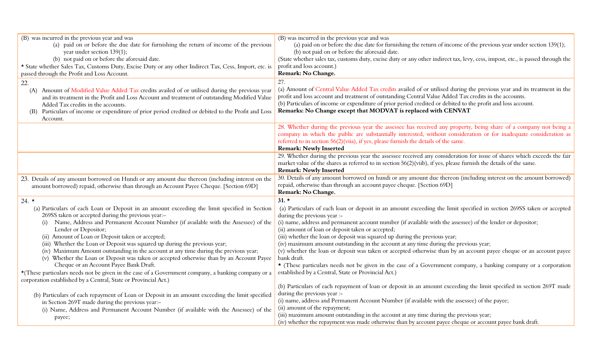| (B) was incurred in the previous year and was<br>(a) paid on or before the due date for furnishing the return of income of the previous<br>year under section 139(1);<br>(b) not paid on or before the aforesaid date.<br>* State whether Sales Tax, Customs Duty, Excise Duty or any other Indirect Tax, Cess, Import, etc. is<br>passed through the Profit and Loss Account.                                                                                                                                                                                                                                                                                                                                                                                                                                                           | (B) was incurred in the previous year and was<br>(a) paid on or before the due date for furnishing the return of income of the previous year under section 139(1);<br>(b) not paid on or before the aforesaid date.<br>(State whether sales tax, customs duty, excise duty or any other indirect tax, levy, cess, impost, etc., is passed through the<br>profit and loss account.)<br>Remark: No Change.                                                                                                                                                                                                                                                                                                                                                                                                                      |
|------------------------------------------------------------------------------------------------------------------------------------------------------------------------------------------------------------------------------------------------------------------------------------------------------------------------------------------------------------------------------------------------------------------------------------------------------------------------------------------------------------------------------------------------------------------------------------------------------------------------------------------------------------------------------------------------------------------------------------------------------------------------------------------------------------------------------------------|-------------------------------------------------------------------------------------------------------------------------------------------------------------------------------------------------------------------------------------------------------------------------------------------------------------------------------------------------------------------------------------------------------------------------------------------------------------------------------------------------------------------------------------------------------------------------------------------------------------------------------------------------------------------------------------------------------------------------------------------------------------------------------------------------------------------------------|
| 22.<br>Amount of Modified Value Added Tax credits availed of or utilised during the previous year<br>(A)<br>and its treatment in the Profit and Loss Account and treatment of outstanding Modified Value<br>Added Tax credits in the accounts.<br>Particulars of income or expenditure of prior period credited or debited to the Profit and Loss<br>(B)<br>Account.                                                                                                                                                                                                                                                                                                                                                                                                                                                                     | 27.<br>(a) Amount of Central Value Added Tax credits availed of or utilised during the previous year and its treatment in the<br>profit and loss account and treatment of outstanding Central Value Added Tax credits in the accounts.<br>(b) Particulars of income or expenditure of prior period credited or debited to the profit and loss account.<br>Remarks: No Change except that MODVAT is replaced with CENVAT                                                                                                                                                                                                                                                                                                                                                                                                       |
|                                                                                                                                                                                                                                                                                                                                                                                                                                                                                                                                                                                                                                                                                                                                                                                                                                          | 28. Whether during the previous year the assessee has received any property, being share of a company not being a<br>company in which the public are substantially interested, without consideration or for inadequate consideration as<br>referred to in section 56(2)(viia), if yes, please furnish the details of the same.<br><b>Remark: Newly Inserted</b>                                                                                                                                                                                                                                                                                                                                                                                                                                                               |
|                                                                                                                                                                                                                                                                                                                                                                                                                                                                                                                                                                                                                                                                                                                                                                                                                                          | 29. Whether during the previous year the assessee received any consideration for issue of shares which exceeds the fair<br>market value of the shares as referred to in section 56(2)(viib), if yes, please furnish the details of the same.<br><b>Remark: Newly Inserted</b>                                                                                                                                                                                                                                                                                                                                                                                                                                                                                                                                                 |
| 23. Details of any amount borrowed on Hundi or any amount due thereon (including interest on the<br>amount borrowed) repaid, otherwise than through an Account Payee Cheque. [Section 69D]                                                                                                                                                                                                                                                                                                                                                                                                                                                                                                                                                                                                                                               | 30. Details of any amount borrowed on hundi or any amount due thereon (including interest on the amount borrowed)<br>repaid, otherwise than through an account payee cheque. [Section 69D]<br>Remark: No Change.                                                                                                                                                                                                                                                                                                                                                                                                                                                                                                                                                                                                              |
| $24. \star$<br>(a) Particulars of each Loan or Deposit in an amount exceeding the limit specified in Section<br>269SS taken or accepted during the previous year:-<br>Name, Address and Permanent Account Number (if available with the Assessee) of the<br>(i)<br>Lender or Depositor;<br>(ii) Amount of Loan or Deposit taken or accepted;<br>(iii) Whether the Loan or Deposit was squared up during the previous year;<br>(iv) Maximum Amount outstanding in the account at any time during the previous year;<br>(v) Whether the Loan or Deposit was taken or accepted otherwise than by an Account Payee<br>Cheque or an Account Payee Bank Draft.<br>$\star$ (These particulars needs not be given in the case of a Government company, a banking company or a<br>corporation established by a Central, State or Provincial Act.) | $31. \star$<br>(a) Particulars of each loan or deposit in an amount exceeding the limit specified in section 269SS taken or accepted<br>during the previous year :-<br>(i) name, address and permanent account number (if available with the assessee) of the lender or depositor;<br>(ii) amount of loan or deposit taken or accepted;<br>(iii) whether the loan or deposit was squared up during the previous year;<br>(iv) maximum amount outstanding in the account at any time during the previous year;<br>(v) whether the loan or deposit was taken or accepted otherwise than by an account payee cheque or an account payee<br>bank draft.<br>* (These particulars needs not be given in the case of a Government company, a banking company or a corporation<br>established by a Central, State or Provincial Act.) |
| (b) Particulars of each repayment of Loan or Deposit in an amount exceeding the limit specified<br>in Section 269T made during the previous year:-<br>(i) Name, Address and Permanent Account Number (if available with the Assessee) of the<br>payee;                                                                                                                                                                                                                                                                                                                                                                                                                                                                                                                                                                                   | (b) Particulars of each repayment of loan or deposit in an amount exceeding the limit specified in section 269T made<br>during the previous year :-<br>(i) name, address and Permanent Account Number (if available with the assessee) of the payee;<br>(ii) amount of the repayment;<br>(iii) maximum amount outstanding in the account at any time during the previous year;<br>(iv) whether the repayment was made otherwise than by account payee cheque or account payee bank draft.                                                                                                                                                                                                                                                                                                                                     |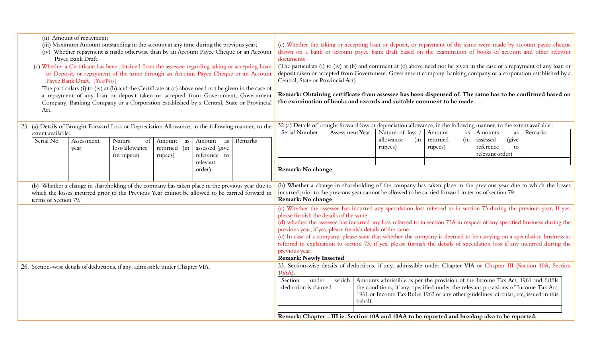| (ii) Amount of repayment;<br>(iii) Maximum Amount outstanding in the account at any time during the previous year;<br>(iv) Whether repayment is made otherwise than by an Account Payee Cheque or an Account<br>Payee Bank Draft.<br>(c) Whether a Certificate has been obtained from the assessee regarding taking or accepting Loan<br>or Deposit, or repayment of the same through an Account Payee Cheque or an Account<br>Payee Bank Draft. [Yes/No]<br>The particulars (i) to (iv) at (b) and the Certificate at (c) above need not be given in the case of<br>a repayment of any loan or deposit taken or accepted from Government, Government<br>Company, Banking Company or a Corporation established by a Central, State or Provincial<br>Act. | (c) Whether the taking or accepting loan or deposit, or repayment of the same were made by account payee cheque<br>drawn on a bank or account payee bank draft based on the examination of books of account and other relevant<br>documents<br>(The particulars (i) to (iv) at (b) and comment at (c) above need not be given in the case of a repayment of any loan or<br>deposit taken or accepted from Government, Government company, banking company or a corporation established by a<br>Central, State or Provincial Act)<br>Remark: Obtaining certificate from assessee has been dispensed of. The same has to be confirmed based on<br>the examination of books and records and suitable comment to be made. |  |  |  |  |  |  |
|----------------------------------------------------------------------------------------------------------------------------------------------------------------------------------------------------------------------------------------------------------------------------------------------------------------------------------------------------------------------------------------------------------------------------------------------------------------------------------------------------------------------------------------------------------------------------------------------------------------------------------------------------------------------------------------------------------------------------------------------------------|-----------------------------------------------------------------------------------------------------------------------------------------------------------------------------------------------------------------------------------------------------------------------------------------------------------------------------------------------------------------------------------------------------------------------------------------------------------------------------------------------------------------------------------------------------------------------------------------------------------------------------------------------------------------------------------------------------------------------|--|--|--|--|--|--|
| 25. (a) Details of Brought Forward Loss or Depreciation Allowance, in the following manner, to the<br>extent available:                                                                                                                                                                                                                                                                                                                                                                                                                                                                                                                                                                                                                                  | 32.(a) Details of brought forward loss or depreciation allowance, in the following manner, to the extent available :<br>Nature of loss<br>Serial Number<br>Amount<br>Remarks<br>Assessment Year<br>Amounts<br>as<br>as<br>(in<br>(in<br>assessed<br>(give<br>allowance<br>returned                                                                                                                                                                                                                                                                                                                                                                                                                                    |  |  |  |  |  |  |
| Serial No<br>Assessment<br>Nature<br>of<br>Amount as<br>Remarks<br>Amount as<br>loss/allowance<br>assessed (give<br>returned (in<br>year<br>reference to<br>(in rupees)<br>rupees)                                                                                                                                                                                                                                                                                                                                                                                                                                                                                                                                                                       | reference<br>rupees)<br>rupees)<br>to<br>relevant order)                                                                                                                                                                                                                                                                                                                                                                                                                                                                                                                                                                                                                                                              |  |  |  |  |  |  |
| relevant<br>order)                                                                                                                                                                                                                                                                                                                                                                                                                                                                                                                                                                                                                                                                                                                                       | Remark: No change                                                                                                                                                                                                                                                                                                                                                                                                                                                                                                                                                                                                                                                                                                     |  |  |  |  |  |  |
| (b) Whether a change in shareholding of the company has taken place in the previous year due to<br>which the losses incurred prior to the Previous Year cannot be allowed to be carried forward in<br>terms of Section 79.                                                                                                                                                                                                                                                                                                                                                                                                                                                                                                                               | (b) Whether a change in shareholding of the company has taken place in the previous year due to which the losses<br>incurred prior to the previous year cannot be allowed to be carried forward in terms of section 79.<br>Remark: No change                                                                                                                                                                                                                                                                                                                                                                                                                                                                          |  |  |  |  |  |  |
|                                                                                                                                                                                                                                                                                                                                                                                                                                                                                                                                                                                                                                                                                                                                                          | (c) Whether the assessee has incurred any speculation loss referred to in section 73 during the previous year, If yes,<br>please furnish the details of the same.<br>(d) whether the assessee has incurred any loss referred to in section 73A in respect of any specified business during the<br>previous year, if yes, please furnish details of the same.<br>(e) In case of a company, please state that whether the company is deemed to be carrying on a speculation business as<br>referred in explanation to section 73, if yes, please furnish the details of speculation loss if any incurred during the<br>previous year.                                                                                   |  |  |  |  |  |  |
| 26. Section-wise details of deductions, if any, admissible under Chapter VIA.                                                                                                                                                                                                                                                                                                                                                                                                                                                                                                                                                                                                                                                                            | <b>Remark: Newly Inserted</b><br>33. Section-wise details of deductions, if any, admissible under Chapter VIA or Chapter III (Section 10A, Section<br>$10AA$ )<br>which   Amounts admissible as per the provision of the Income Tax Act, 1961 and fulfils<br>under<br>Section<br>the conditions, if any, specified under the relevant provisions of Income Tax Act,<br>deduction is claimed<br>1961 or Income Tax Rules, 1962 or any other guidelines, circular, etc, issued in this<br>behalf.                                                                                                                                                                                                                       |  |  |  |  |  |  |
|                                                                                                                                                                                                                                                                                                                                                                                                                                                                                                                                                                                                                                                                                                                                                          | Remark: Chapter - III ie. Section 10A and 10AA to be reported and breakup also to be reported.                                                                                                                                                                                                                                                                                                                                                                                                                                                                                                                                                                                                                        |  |  |  |  |  |  |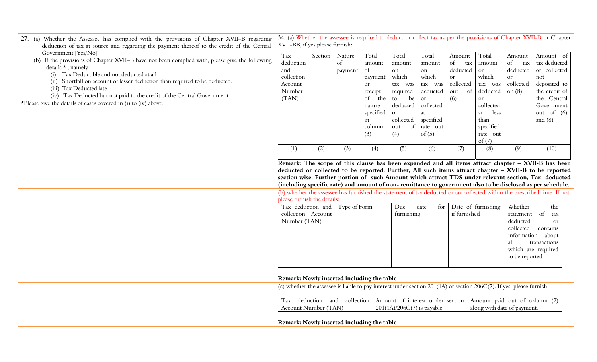| 27. (a) Whether the Assessee has complied with the provisions of Chapter XVII-B regarding<br>deduction of tax at source and regarding the payment thereof to the credit of the Central<br>Government. [Yes/No] | 34. (a) Whether the assessee is required to deduct or collect tax as per the provisions of Chapter XVII-B or Chapter<br>XVII-BB, if yes please furnish:  |         |                   |                     |                              |                                  |              |                               |                       |                                                                                                                                                                                                                   |
|----------------------------------------------------------------------------------------------------------------------------------------------------------------------------------------------------------------|----------------------------------------------------------------------------------------------------------------------------------------------------------|---------|-------------------|---------------------|------------------------------|----------------------------------|--------------|-------------------------------|-----------------------|-------------------------------------------------------------------------------------------------------------------------------------------------------------------------------------------------------------------|
| (b) If the provisions of Chapter XVII-B have not been complied with, please give the following                                                                                                                 | Tax                                                                                                                                                      | Section | Nature            | Total               | Total                        | Total                            | Amount       | Total                         | Amount                | Amount of                                                                                                                                                                                                         |
| details $\star$ , namely:-                                                                                                                                                                                     | deduction                                                                                                                                                |         | of                | amount              | amount                       | amount                           | of<br>tax    | amount                        | $\circ$ f<br>tax      | tax deducted                                                                                                                                                                                                      |
| Tax Deductible and not deducted at all<br>(i)                                                                                                                                                                  | and                                                                                                                                                      |         | payment           | of                  | on                           | on                               | deducted     | on                            | deducted              | or collected                                                                                                                                                                                                      |
| (ii) Shortfall on account of lesser deduction than required to be deducted.                                                                                                                                    | collection                                                                                                                                               |         |                   | payment             | which                        | which                            | <b>or</b>    | which                         | or                    | not                                                                                                                                                                                                               |
| (iii) Tax Deducted late                                                                                                                                                                                        | Account                                                                                                                                                  |         |                   | or                  | tax was                      | tax was                          | collected    | tax was                       | collected             | deposited to                                                                                                                                                                                                      |
| (iv) Tax Deducted but not paid to the credit of the Central Government                                                                                                                                         | Number                                                                                                                                                   |         |                   | receipt             | required                     | deducted                         | of<br>out    | deducted                      | on $(8)$              | the credit of                                                                                                                                                                                                     |
| *Please give the details of cases covered in (i) to (iv) above.                                                                                                                                                | (TAN)                                                                                                                                                    |         |                   | of<br>the           | be<br>to<br>deducted         | or<br>collected                  | (6)          | <b>or</b><br>collected        |                       | the Central<br>Government                                                                                                                                                                                         |
|                                                                                                                                                                                                                |                                                                                                                                                          |         |                   | nature<br>specified | or                           | at                               |              | less<br>at                    |                       | out of $(6)$                                                                                                                                                                                                      |
|                                                                                                                                                                                                                |                                                                                                                                                          |         |                   | in                  | collected                    | specified                        |              | than                          |                       | and $(8)$                                                                                                                                                                                                         |
|                                                                                                                                                                                                                |                                                                                                                                                          |         |                   | column              | of<br>out                    | rate out                         |              | specified                     |                       |                                                                                                                                                                                                                   |
|                                                                                                                                                                                                                |                                                                                                                                                          |         |                   | (3)                 | (4)                          | of $(5)$                         |              | rate out                      |                       |                                                                                                                                                                                                                   |
|                                                                                                                                                                                                                |                                                                                                                                                          |         |                   |                     |                              |                                  |              | of $(7)$                      |                       |                                                                                                                                                                                                                   |
|                                                                                                                                                                                                                | (1)                                                                                                                                                      | (2)     | (3)               | (4)                 | (5)                          | (6)                              | (7)          | (8)                           | (9)                   | (10)                                                                                                                                                                                                              |
|                                                                                                                                                                                                                |                                                                                                                                                          |         |                   |                     |                              |                                  |              |                               |                       |                                                                                                                                                                                                                   |
|                                                                                                                                                                                                                |                                                                                                                                                          |         |                   |                     |                              |                                  |              |                               |                       | Remark: The scope of this clause has been expanded and all items attract chapter - XVII-B has been                                                                                                                |
|                                                                                                                                                                                                                |                                                                                                                                                          |         |                   |                     |                              |                                  |              |                               |                       | deducted or collected to be reported. Further, All such items attract chapter - XVII-B to be reported                                                                                                             |
|                                                                                                                                                                                                                |                                                                                                                                                          |         |                   |                     |                              |                                  |              |                               |                       | section wise. Further portion of such Amount which attract TDS under relevant section, Tax deducted<br>(including specific rate) and amount of non-remittance to government also to be disclosed as per schedule. |
|                                                                                                                                                                                                                |                                                                                                                                                          |         |                   |                     |                              |                                  |              |                               |                       |                                                                                                                                                                                                                   |
|                                                                                                                                                                                                                | (b) whether the assessee has furnished the statement of tax deducted or tax collected within the prescribed time. If not,<br>please furnish the details: |         |                   |                     |                              |                                  |              |                               |                       |                                                                                                                                                                                                                   |
|                                                                                                                                                                                                                | Tax deduction and                                                                                                                                        |         | Type of Form      |                     | Due                          | date<br>for                      |              | Date of furnishing,           | Whether               | the                                                                                                                                                                                                               |
|                                                                                                                                                                                                                | collection Account                                                                                                                                       |         |                   |                     | furnishing                   |                                  | if furnished |                               | statement             | of<br>tax                                                                                                                                                                                                         |
|                                                                                                                                                                                                                | Number (TAN)                                                                                                                                             |         |                   |                     |                              |                                  |              |                               | deducted<br>collected | or                                                                                                                                                                                                                |
|                                                                                                                                                                                                                |                                                                                                                                                          |         |                   |                     |                              |                                  |              |                               |                       | contains<br>information about                                                                                                                                                                                     |
|                                                                                                                                                                                                                |                                                                                                                                                          |         |                   |                     |                              |                                  |              |                               | all                   | transactions                                                                                                                                                                                                      |
|                                                                                                                                                                                                                |                                                                                                                                                          |         |                   |                     |                              |                                  |              |                               |                       | which are required                                                                                                                                                                                                |
|                                                                                                                                                                                                                |                                                                                                                                                          |         |                   |                     |                              |                                  |              |                               | to be reported        |                                                                                                                                                                                                                   |
|                                                                                                                                                                                                                |                                                                                                                                                          |         |                   |                     |                              |                                  |              |                               |                       |                                                                                                                                                                                                                   |
|                                                                                                                                                                                                                |                                                                                                                                                          |         |                   |                     |                              |                                  |              |                               |                       |                                                                                                                                                                                                                   |
|                                                                                                                                                                                                                | Remark: Newly inserted including the table                                                                                                               |         |                   |                     |                              |                                  |              |                               |                       |                                                                                                                                                                                                                   |
|                                                                                                                                                                                                                | (c) whether the assessee is liable to pay interest under section 201(1A) or section 206C(7). If yes, please furnish:                                     |         |                   |                     |                              |                                  |              |                               |                       |                                                                                                                                                                                                                   |
|                                                                                                                                                                                                                | Tax deduction                                                                                                                                            |         | collection<br>and |                     |                              | Amount of interest under section |              | Amount paid out of column (2) |                       |                                                                                                                                                                                                                   |
|                                                                                                                                                                                                                | Account Number (TAN)                                                                                                                                     |         |                   |                     | $201(1A)/206C(7)$ is payable |                                  |              | along with date of payment.   |                       |                                                                                                                                                                                                                   |
|                                                                                                                                                                                                                |                                                                                                                                                          |         |                   |                     |                              |                                  |              |                               |                       |                                                                                                                                                                                                                   |
|                                                                                                                                                                                                                | Remark: Newly inserted including the table                                                                                                               |         |                   |                     |                              |                                  |              |                               |                       |                                                                                                                                                                                                                   |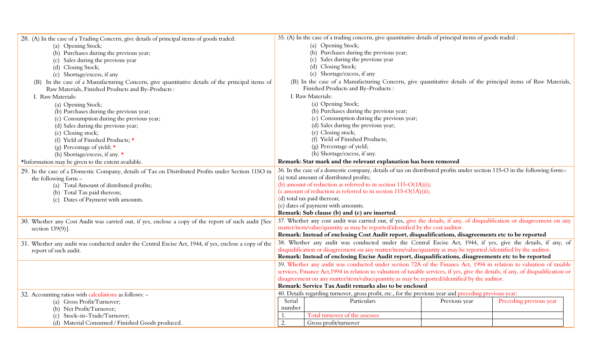| 28. (A) In the case of a Trading Concern, give details of principal items of goods traded:            |                                                                                                                          | 35. (A) In the case of a trading concern, give quantitative details of principal items of goods traded :                           |               |                         |  |
|-------------------------------------------------------------------------------------------------------|--------------------------------------------------------------------------------------------------------------------------|------------------------------------------------------------------------------------------------------------------------------------|---------------|-------------------------|--|
| (a) Opening Stock;                                                                                    | (a) Opening Stock;                                                                                                       |                                                                                                                                    |               |                         |  |
| (b) Purchases during the previous year;                                                               | (b) Purchases during the previous year;                                                                                  |                                                                                                                                    |               |                         |  |
| (c) Sales during the previous year                                                                    |                                                                                                                          | (c) Sales during the previous year                                                                                                 |               |                         |  |
| (d) Closing Stock;                                                                                    |                                                                                                                          | (d) Closing Stock;                                                                                                                 |               |                         |  |
| (e) Shortage/excess, if any                                                                           |                                                                                                                          | (e) Shortage/excess, if any                                                                                                        |               |                         |  |
| (B) In the case of a Manufacturing Concern, give quantitative details of the principal items of       |                                                                                                                          | (B) In the case of a Manufacturing Concern, give quantitative details of the principal items of Raw Materials,                     |               |                         |  |
| Raw Materials, Finished Products and By-Products :                                                    | Finished Products and By-Products :                                                                                      |                                                                                                                                    |               |                         |  |
| I. Raw Materials:                                                                                     | I. Raw Materials:                                                                                                        |                                                                                                                                    |               |                         |  |
| (a) Opening Stock;                                                                                    |                                                                                                                          | (a) Opening Stock;                                                                                                                 |               |                         |  |
| (b) Purchases during the previous year;                                                               |                                                                                                                          | (b) Purchases during the previous year;                                                                                            |               |                         |  |
| (c) Consumption during the previous year;                                                             | (c) Consumption during the previous year;                                                                                |                                                                                                                                    |               |                         |  |
| (d) Sales during the previous year;                                                                   |                                                                                                                          | (d) Sales during the previous year;                                                                                                |               |                         |  |
| (e) Closing stock;                                                                                    | (e) Closing stock;                                                                                                       |                                                                                                                                    |               |                         |  |
| (f) Yield of Finished Products; $\star$                                                               | (f) Yield of Finished Products;                                                                                          |                                                                                                                                    |               |                         |  |
| (g) Percentage of yield; $\star$                                                                      | (g) Percentage of yield;                                                                                                 |                                                                                                                                    |               |                         |  |
| (h) Shortage/excess, if any. $\star$                                                                  | (h) Shortage/excess, if any.                                                                                             |                                                                                                                                    |               |                         |  |
| *Information may be given to the extent available.                                                    | Remark: Star mark and the relevant explanation has been removed                                                          |                                                                                                                                    |               |                         |  |
| 29. In the case of a Domestic Company, details of Tax on Distributed Profits under Section 115O in    | 36. In the case of a domestic company, details of tax on distributed profits under section 115-O in the following form:- |                                                                                                                                    |               |                         |  |
| the following form $-$                                                                                | (a) total amount of distributed profits;                                                                                 |                                                                                                                                    |               |                         |  |
| (a) Total Amount of distributed profits;                                                              | (b) amount of reduction as referred to in section $115-O(1A)(i)$ ;                                                       |                                                                                                                                    |               |                         |  |
| (b) Total Tax paid thereon;                                                                           | (c amount of reduction as referred to in section 115-O(1A)(ii);                                                          |                                                                                                                                    |               |                         |  |
| (c) Dates of Payment with amounts.                                                                    | (d) total tax paid thereon;                                                                                              |                                                                                                                                    |               |                         |  |
|                                                                                                       | (e) dates of payment with amounts.                                                                                       |                                                                                                                                    |               |                         |  |
|                                                                                                       |                                                                                                                          | Remark: Sub clause (b) and (c) are inserted.                                                                                       |               |                         |  |
| 30. Whether any Cost Audit was carried out, if yes, enclose a copy of the report of such audit [See   |                                                                                                                          | 37. Whether any cost audit was carried out, if yes, give the details, if any, of disqualification or disagreement on any           |               |                         |  |
| section $139(9)$ ].                                                                                   |                                                                                                                          | matter/item/value/quantity as may be reported/identified by the cost auditor.                                                      |               |                         |  |
|                                                                                                       |                                                                                                                          | Remark: Instead of enclosing Cost Audit report, disqualifications, disagreements etc to be reported                                |               |                         |  |
| 31. Whether any audit was conducted under the Central Excise Act, 1944, if yes, enclose a copy of the |                                                                                                                          | 38. Whether any audit was conducted under the Central Excise Act, 1944, if yes, give the details, if any, of                       |               |                         |  |
| report of such audit.                                                                                 |                                                                                                                          | disqualification or disagreement on any matter/item/value/quantity as may be reported /identified by the auditor.                  |               |                         |  |
|                                                                                                       |                                                                                                                          | Remark: Instead of enclosing Excise Audit report, disqualifications, disagreements etc to be reported                              |               |                         |  |
|                                                                                                       |                                                                                                                          | 39. Whether any audit was conducted under section 72A of the Finance Act, 1994 in relation to valuation of taxable                 |               |                         |  |
|                                                                                                       |                                                                                                                          | services, Finance Act, 1994 in relation to valuation of taxable services, if yes, give the details, if any, of disqualification or |               |                         |  |
|                                                                                                       | disagreement on any matter/item/value/quantity as may be reported/identified by the auditor.                             |                                                                                                                                    |               |                         |  |
|                                                                                                       | Remark: Service Tax Audit remarks also to be enclosed                                                                    |                                                                                                                                    |               |                         |  |
| 32. Accounting ratios with calculations as follows: -                                                 | 40. Details regarding turnover, gross profit, etc., for the previous year and preceding previous year:                   |                                                                                                                                    |               |                         |  |
| (a) Gross Profit/Turnover;                                                                            | Serial                                                                                                                   | Particulars                                                                                                                        | Previous year | Preceding previous year |  |
| (b) Net Profit/Turnover;                                                                              | number                                                                                                                   |                                                                                                                                    |               |                         |  |
| (c) Stock-in-Trade/Turnover;                                                                          | 1.                                                                                                                       | Total turnover of the assessee                                                                                                     |               |                         |  |
| (d) Material Consumed / Finished Goods produced.                                                      | $\overline{2}$ .                                                                                                         | Gross profit/turnover                                                                                                              |               |                         |  |